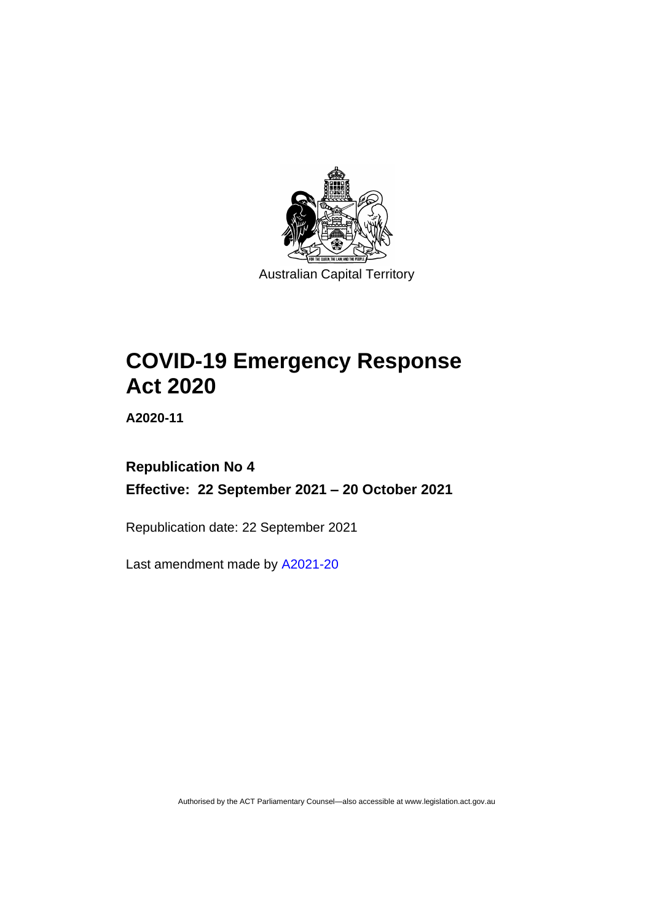

Australian Capital Territory

# **COVID-19 Emergency Response Act 2020**

**A2020-11**

# **Republication No 4 Effective: 22 September 2021 – 20 October 2021**

Republication date: 22 September 2021

Last amendment made by [A2021-20](http://www.legislation.act.gov.au/a/2021-20/)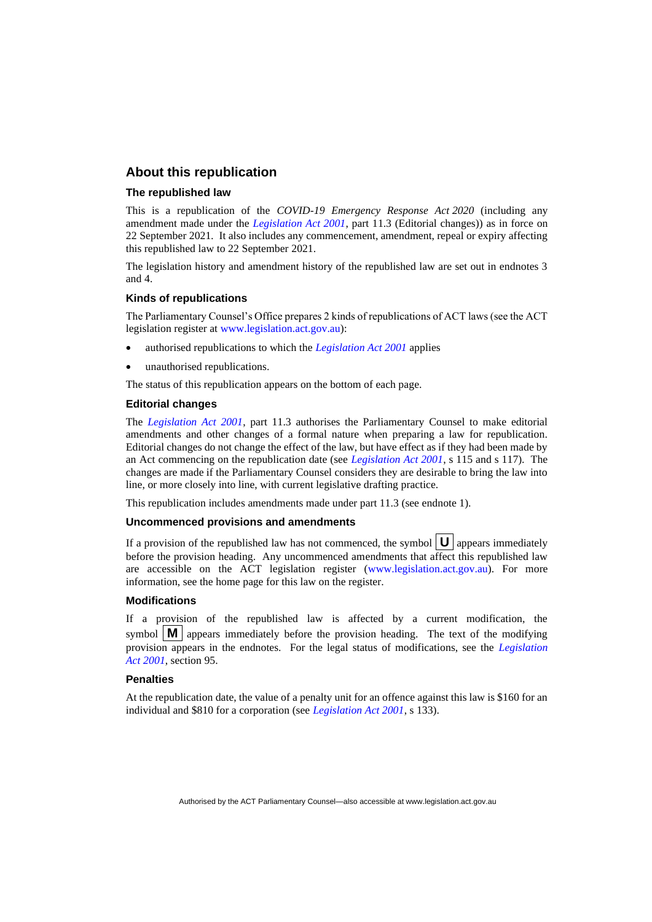### **About this republication**

#### **The republished law**

This is a republication of the *COVID-19 Emergency Response Act 2020* (including any amendment made under the *[Legislation Act 2001](http://www.legislation.act.gov.au/a/2001-14)*, part 11.3 (Editorial changes)) as in force on 22 September 2021*.* It also includes any commencement, amendment, repeal or expiry affecting this republished law to 22 September 2021.

The legislation history and amendment history of the republished law are set out in endnotes 3 and 4.

#### **Kinds of republications**

The Parliamentary Counsel's Office prepares 2 kinds of republications of ACT laws (see the ACT legislation register at [www.legislation.act.gov.au\)](http://www.legislation.act.gov.au/):

- authorised republications to which the *[Legislation Act 2001](http://www.legislation.act.gov.au/a/2001-14)* applies
- unauthorised republications.

The status of this republication appears on the bottom of each page.

#### **Editorial changes**

The *[Legislation Act 2001](http://www.legislation.act.gov.au/a/2001-14)*, part 11.3 authorises the Parliamentary Counsel to make editorial amendments and other changes of a formal nature when preparing a law for republication. Editorial changes do not change the effect of the law, but have effect as if they had been made by an Act commencing on the republication date (see *[Legislation Act 2001](http://www.legislation.act.gov.au/a/2001-14)*, s 115 and s 117). The changes are made if the Parliamentary Counsel considers they are desirable to bring the law into line, or more closely into line, with current legislative drafting practice.

This republication includes amendments made under part 11.3 (see endnote 1).

#### **Uncommenced provisions and amendments**

If a provision of the republished law has not commenced, the symbol  $\mathbf{U}$  appears immediately before the provision heading. Any uncommenced amendments that affect this republished law are accessible on the ACT legislation register [\(www.legislation.act.gov.au\)](http://www.legislation.act.gov.au/). For more information, see the home page for this law on the register.

#### **Modifications**

If a provision of the republished law is affected by a current modification, the symbol  $\mathbf{M}$  appears immediately before the provision heading. The text of the modifying provision appears in the endnotes. For the legal status of modifications, see the *[Legislation](http://www.legislation.act.gov.au/a/2001-14)  Act [2001](http://www.legislation.act.gov.au/a/2001-14)*, section 95.

#### **Penalties**

At the republication date, the value of a penalty unit for an offence against this law is \$160 for an individual and \$810 for a corporation (see *[Legislation Act 2001](http://www.legislation.act.gov.au/a/2001-14)*, s 133).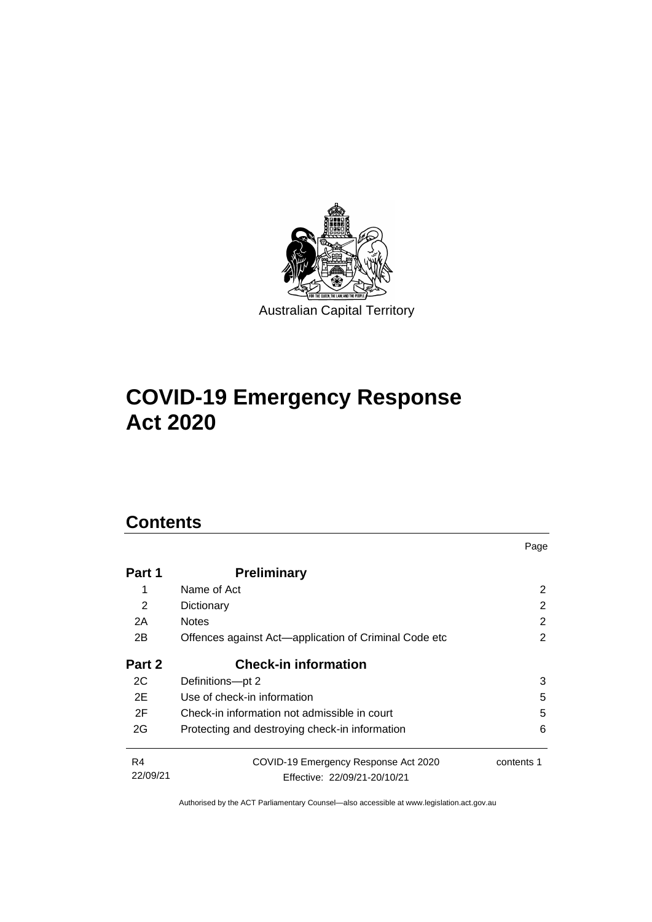

# **COVID-19 Emergency Response Act 2020**

# **Contents**

| Name of Act                                    | 2                                                                                                                                                                                                                      |
|------------------------------------------------|------------------------------------------------------------------------------------------------------------------------------------------------------------------------------------------------------------------------|
|                                                |                                                                                                                                                                                                                        |
|                                                | 2                                                                                                                                                                                                                      |
|                                                | 2                                                                                                                                                                                                                      |
|                                                | 2                                                                                                                                                                                                                      |
| <b>Check-in information</b>                    |                                                                                                                                                                                                                        |
|                                                | 3                                                                                                                                                                                                                      |
|                                                | 5                                                                                                                                                                                                                      |
|                                                | 5                                                                                                                                                                                                                      |
| Protecting and destroying check-in information | 6                                                                                                                                                                                                                      |
| COVID-19 Emergency Response Act 2020           | contents 1                                                                                                                                                                                                             |
|                                                | Dictionary<br><b>Notes</b><br>Offences against Act-application of Criminal Code etc<br>Definitions-pt 2<br>Use of check-in information<br>Check-in information not admissible in court<br>Effective: 22/09/21-20/10/21 |

Page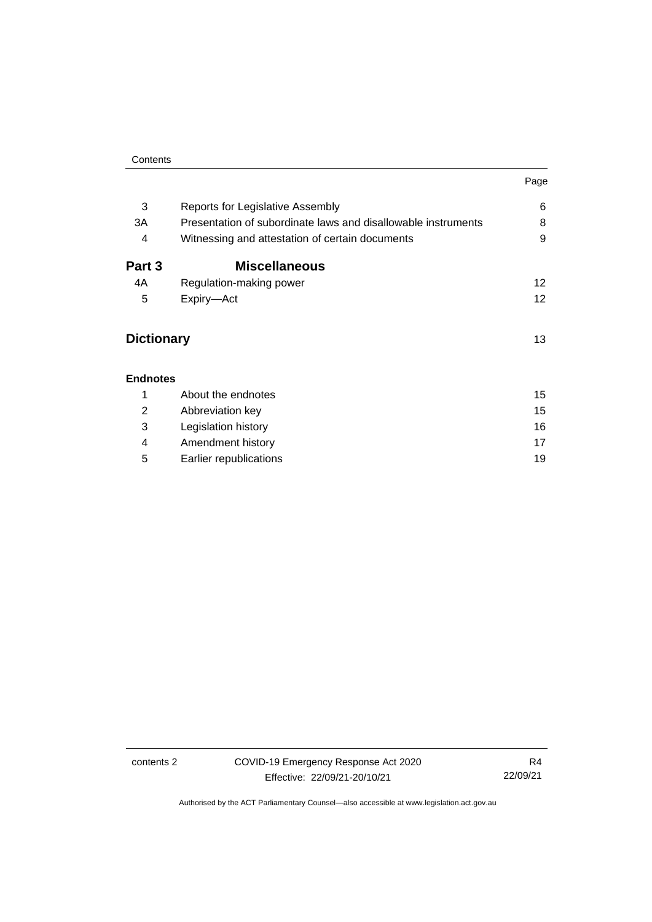|                   |                                                               | Page            |
|-------------------|---------------------------------------------------------------|-----------------|
| 3                 | Reports for Legislative Assembly                              | 6               |
| 3A                | Presentation of subordinate laws and disallowable instruments | 8               |
| 4                 | Witnessing and attestation of certain documents               | 9               |
| Part 3            | <b>Miscellaneous</b>                                          |                 |
| 4A                | Regulation-making power                                       | 12              |
| 5                 | Expiry-Act                                                    | 12 <sup>2</sup> |
| <b>Dictionary</b> |                                                               | 13              |
| <b>Endnotes</b>   |                                                               |                 |
| 1                 | About the endnotes                                            | 15              |
| 2                 | Abbreviation key                                              | 15              |
| 3                 | Legislation history                                           | 16              |
| 4                 | Amendment history                                             | 17              |
| 5                 | Earlier republications                                        | 19              |

contents 2 COVID-19 Emergency Response Act 2020 Effective: 22/09/21-20/10/21

R4 22/09/21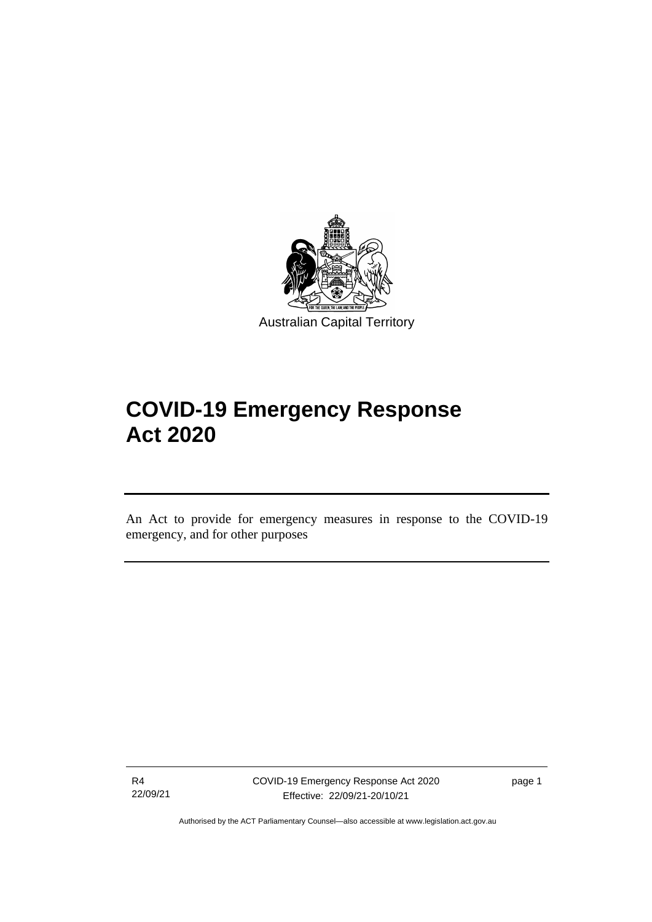

Australian Capital Territory

# **COVID-19 Emergency Response Act 2020**

An Act to provide for emergency measures in response to the COVID-19 emergency, and for other purposes

R4 22/09/21

֡֡֡

page 1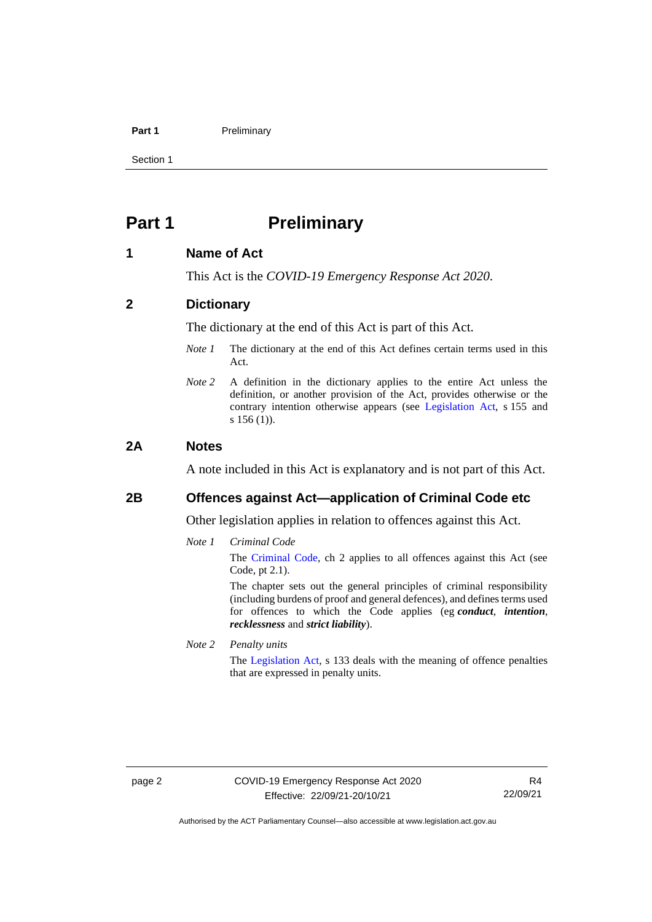#### **Part 1** Preliminary

Section 1

# <span id="page-5-0"></span>**Part 1 Preliminary**

### <span id="page-5-1"></span>**1 Name of Act**

This Act is the *COVID-19 Emergency Response Act 2020*.

### <span id="page-5-2"></span>**2 Dictionary**

The dictionary at the end of this Act is part of this Act.

- *Note 1* The dictionary at the end of this Act defines certain terms used in this Act.
- *Note 2* A definition in the dictionary applies to the entire Act unless the definition, or another provision of the Act, provides otherwise or the contrary intention otherwise appears (see [Legislation Act,](http://www.legislation.act.gov.au/a/2001-14) s 155 and s 156 (1).

#### <span id="page-5-3"></span>**2A Notes**

A note included in this Act is explanatory and is not part of this Act.

# <span id="page-5-4"></span>**2B Offences against Act—application of Criminal Code etc**

Other legislation applies in relation to offences against this Act.

*Note 1 Criminal Code*

The [Criminal Code,](http://www.legislation.act.gov.au/a/2002-51) ch 2 applies to all offences against this Act (see Code, pt 2.1).

The chapter sets out the general principles of criminal responsibility (including burdens of proof and general defences), and defines terms used for offences to which the Code applies (eg *conduct*, *intention*, *recklessness* and *strict liability*).

*Note 2 Penalty units*

The [Legislation Act,](http://www.legislation.act.gov.au/a/2001-14) s 133 deals with the meaning of offence penalties that are expressed in penalty units.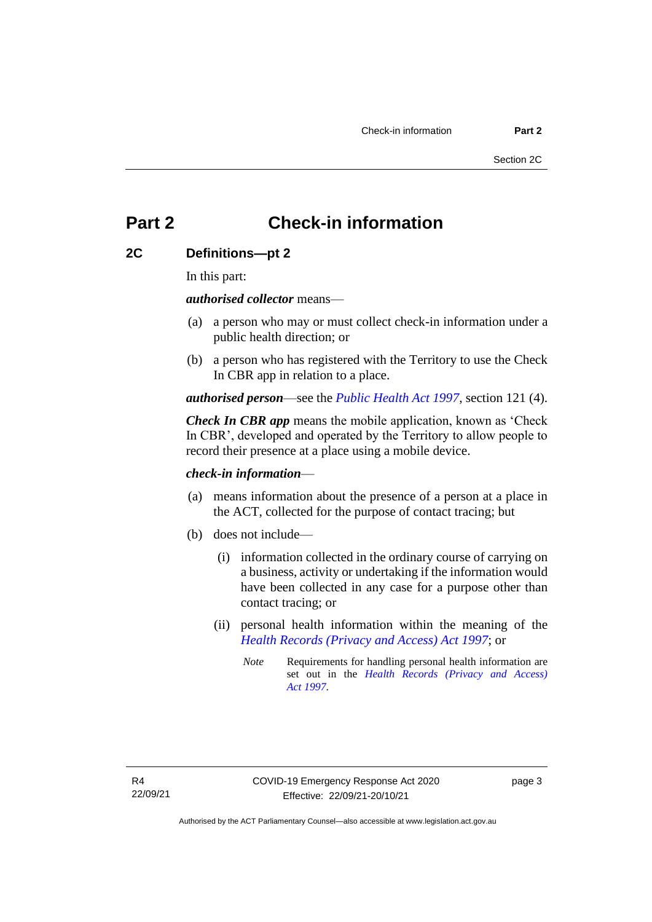# <span id="page-6-0"></span>**Part 2 Check-in information**

# <span id="page-6-1"></span>**2C Definitions—pt 2**

In this part:

*authorised collector* means—

- (a) a person who may or must collect check-in information under a public health direction; or
- (b) a person who has registered with the Territory to use the Check In CBR app in relation to a place.

*authorised person*—see the *[Public Health Act 1997](http://www.legislation.act.gov.au/a/1997-69)*, section 121 (4).

*Check In CBR app* means the mobile application, known as 'Check In CBR', developed and operated by the Territory to allow people to record their presence at a place using a mobile device.

### *check-in information*—

- (a) means information about the presence of a person at a place in the ACT, collected for the purpose of contact tracing; but
- (b) does not include—
	- (i) information collected in the ordinary course of carrying on a business, activity or undertaking if the information would have been collected in any case for a purpose other than contact tracing; or
	- (ii) personal health information within the meaning of the *[Health Records \(Privacy and Access\) Act 1997](http://www.legislation.act.gov.au/a/1997-125)*; or
		- *Note* Requirements for handling personal health information are set out in the *[Health Records \(Privacy and Access\)](http://www.legislation.act.gov.au/a/1997-125)  Act [1997](http://www.legislation.act.gov.au/a/1997-125)*.

page 3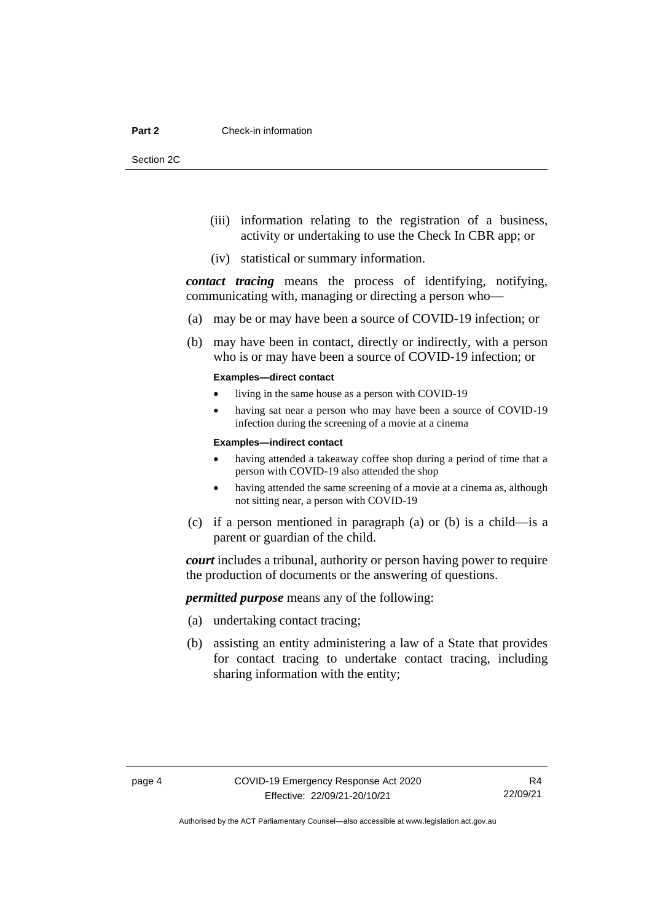Section 2C

- (iii) information relating to the registration of a business, activity or undertaking to use the Check In CBR app; or
- (iv) statistical or summary information.

*contact tracing* means the process of identifying, notifying, communicating with, managing or directing a person who—

- (a) may be or may have been a source of COVID-19 infection; or
- (b) may have been in contact, directly or indirectly, with a person who is or may have been a source of COVID-19 infection; or

#### **Examples—direct contact**

- living in the same house as a person with COVID-19
- having sat near a person who may have been a source of COVID-19 infection during the screening of a movie at a cinema

#### **Examples—indirect contact**

- having attended a takeaway coffee shop during a period of time that a person with COVID-19 also attended the shop
- having attended the same screening of a movie at a cinema as, although not sitting near, a person with COVID-19
- (c) if a person mentioned in paragraph (a) or (b) is a child—is a parent or guardian of the child.

*court* includes a tribunal, authority or person having power to require the production of documents or the answering of questions.

*permitted purpose* means any of the following:

- (a) undertaking contact tracing;
- (b) assisting an entity administering a law of a State that provides for contact tracing to undertake contact tracing, including sharing information with the entity;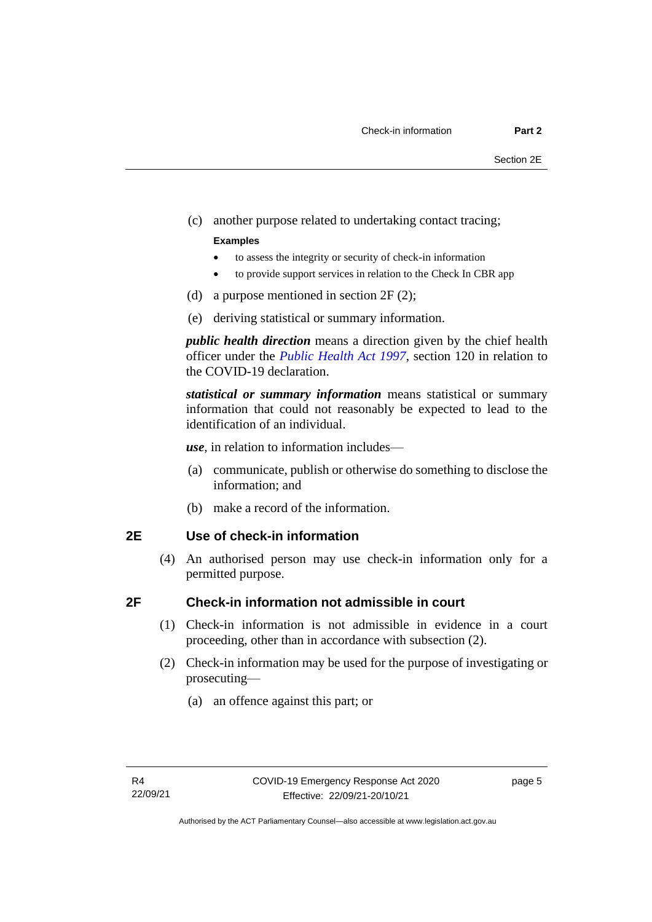(c) another purpose related to undertaking contact tracing;

#### **Examples**

- to assess the integrity or security of check-in information
- to provide support services in relation to the Check In CBR app
- (d) a purpose mentioned in section 2F (2);
- (e) deriving statistical or summary information.

*public health direction* means a direction given by the chief health officer under the *[Public Health Act 1997](http://www.legislation.act.gov.au/a/1997-69)*, section 120 in relation to the COVID-19 declaration.

*statistical or summary information* means statistical or summary information that could not reasonably be expected to lead to the identification of an individual.

*use*, in relation to information includes—

- (a) communicate, publish or otherwise do something to disclose the information; and
- (b) make a record of the information.

### <span id="page-8-0"></span>**2E Use of check-in information**

(4) An authorised person may use check-in information only for a permitted purpose.

# <span id="page-8-1"></span>**2F Check-in information not admissible in court**

- (1) Check-in information is not admissible in evidence in a court proceeding, other than in accordance with subsection (2).
- (2) Check-in information may be used for the purpose of investigating or prosecuting—
	- (a) an offence against this part; or

page 5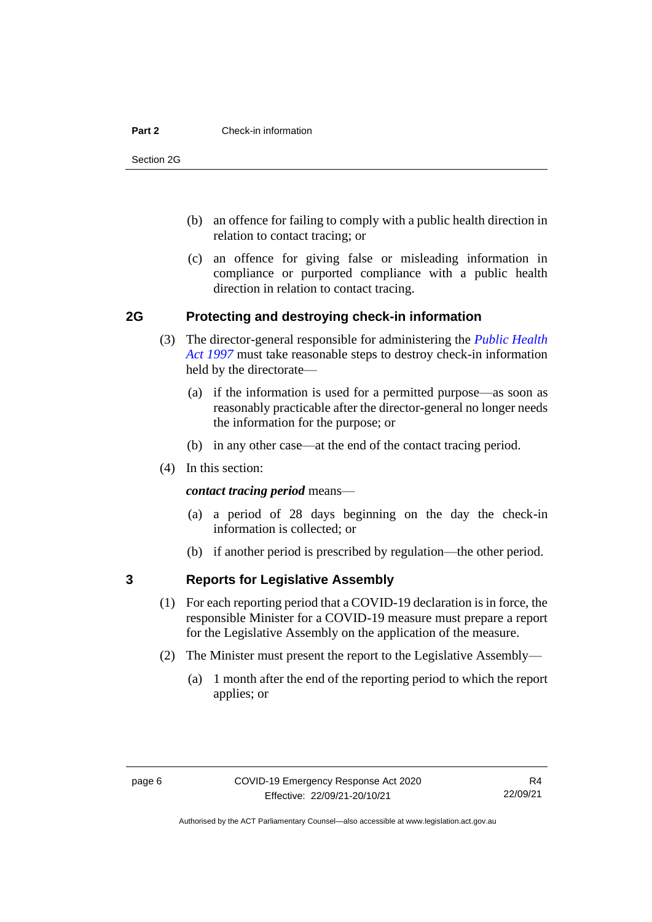#### **Part 2** Check-in information

Section 2G

- (b) an offence for failing to comply with a public health direction in relation to contact tracing; or
- (c) an offence for giving false or misleading information in compliance or purported compliance with a public health direction in relation to contact tracing.

# <span id="page-9-0"></span>**2G Protecting and destroying check-in information**

- (3) The director-general responsible for administering the *[Public Health](http://www.legislation.act.gov.au/a/1997-69)  [Act 1997](http://www.legislation.act.gov.au/a/1997-69)* must take reasonable steps to destroy check-in information held by the directorate—
	- (a) if the information is used for a permitted purpose—as soon as reasonably practicable after the director-general no longer needs the information for the purpose; or
	- (b) in any other case—at the end of the contact tracing period.
- (4) In this section:

*contact tracing period* means—

- (a) a period of 28 days beginning on the day the check-in information is collected; or
- (b) if another period is prescribed by regulation—the other period.

# <span id="page-9-1"></span>**3 Reports for Legislative Assembly**

- (1) For each reporting period that a COVID-19 declaration is in force, the responsible Minister for a COVID-19 measure must prepare a report for the Legislative Assembly on the application of the measure.
- (2) The Minister must present the report to the Legislative Assembly—
	- (a) 1 month after the end of the reporting period to which the report applies; or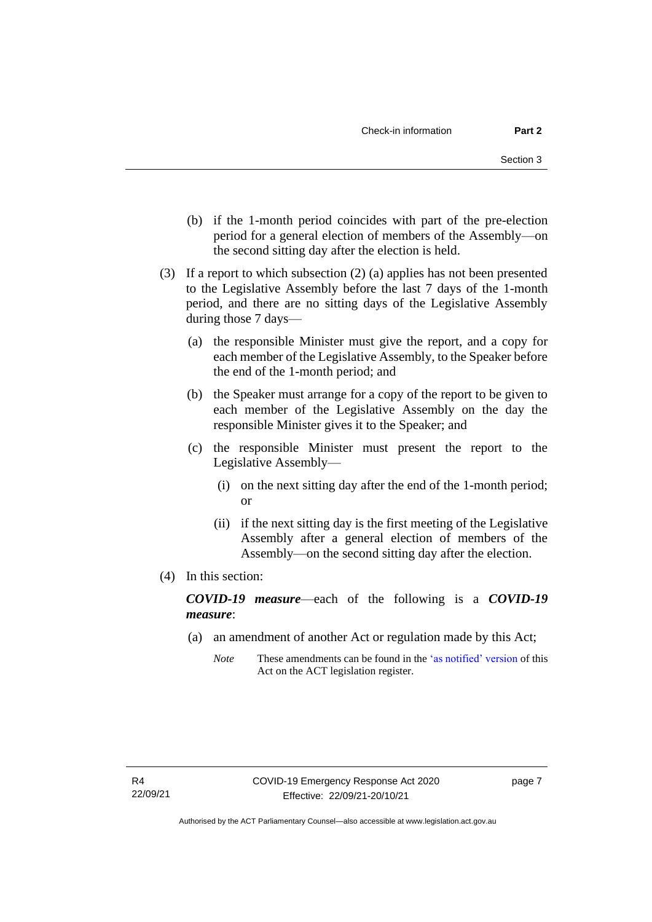- (b) if the 1-month period coincides with part of the pre-election period for a general election of members of the Assembly—on the second sitting day after the election is held.
- (3) If a report to which subsection (2) (a) applies has not been presented to the Legislative Assembly before the last 7 days of the 1-month period, and there are no sitting days of the Legislative Assembly during those 7 days—
	- (a) the responsible Minister must give the report, and a copy for each member of the Legislative Assembly, to the Speaker before the end of the 1-month period; and
	- (b) the Speaker must arrange for a copy of the report to be given to each member of the Legislative Assembly on the day the responsible Minister gives it to the Speaker; and
	- (c) the responsible Minister must present the report to the Legislative Assembly—
		- (i) on the next sitting day after the end of the 1-month period; or
		- (ii) if the next sitting day is the first meeting of the Legislative Assembly after a general election of members of the Assembly—on the second sitting day after the election.
- (4) In this section:

*COVID-19 measure*—each of the following is a *COVID-19 measure*:

- (a) an amendment of another Act or regulation made by this Act;
	- *Note* These amendments can be found in th[e 'as notified' version](https://legislation.act.gov.au/DownloadFile/a/2020-11/20200408-73648/PDF/2020-11.PDF) of this Act on the ACT legislation register.

page 7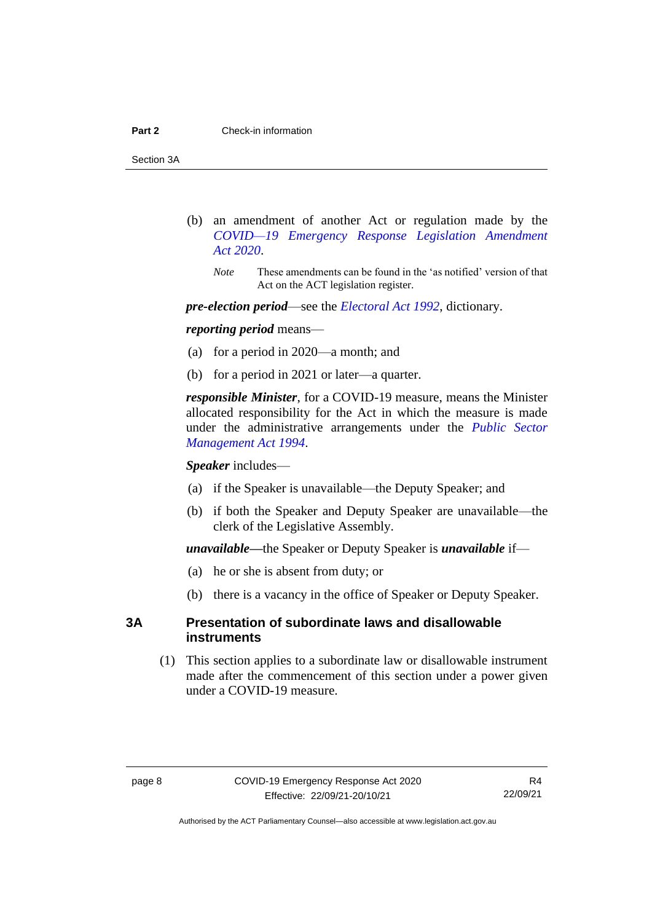Section 3A

- (b) an amendment of another Act or regulation made by the *[COVID—19 Emergency Response Legislation Amendment](http://www.legislation.act.gov.au/a/2020-14/)  Act [2020](http://www.legislation.act.gov.au/a/2020-14/)*.
	- *Note* These amendments can be found in the 'as notified' version of that Act on the ACT legislation register.

*pre-election period*—see the *[Electoral Act 1992](http://www.legislation.act.gov.au/a/1992-71)*, dictionary.

#### *reporting period* means—

- (a) for a period in 2020—a month; and
- (b) for a period in 2021 or later—a quarter.

*responsible Minister*, for a COVID-19 measure, means the Minister allocated responsibility for the Act in which the measure is made under the administrative arrangements under the *[Public Sector](http://www.legislation.act.gov.au/a/1994-37)  [Management Act 1994](http://www.legislation.act.gov.au/a/1994-37)*.

*Speaker* includes—

- (a) if the Speaker is unavailable—the Deputy Speaker; and
- (b) if both the Speaker and Deputy Speaker are unavailable—the clerk of the Legislative Assembly.

*unavailable—*the Speaker or Deputy Speaker is *unavailable* if—

- (a) he or she is absent from duty; or
- (b) there is a vacancy in the office of Speaker or Deputy Speaker.

# <span id="page-11-0"></span>**3A Presentation of subordinate laws and disallowable instruments**

(1) This section applies to a subordinate law or disallowable instrument made after the commencement of this section under a power given under a COVID-19 measure.

R4 22/09/21

Authorised by the ACT Parliamentary Counsel—also accessible at www.legislation.act.gov.au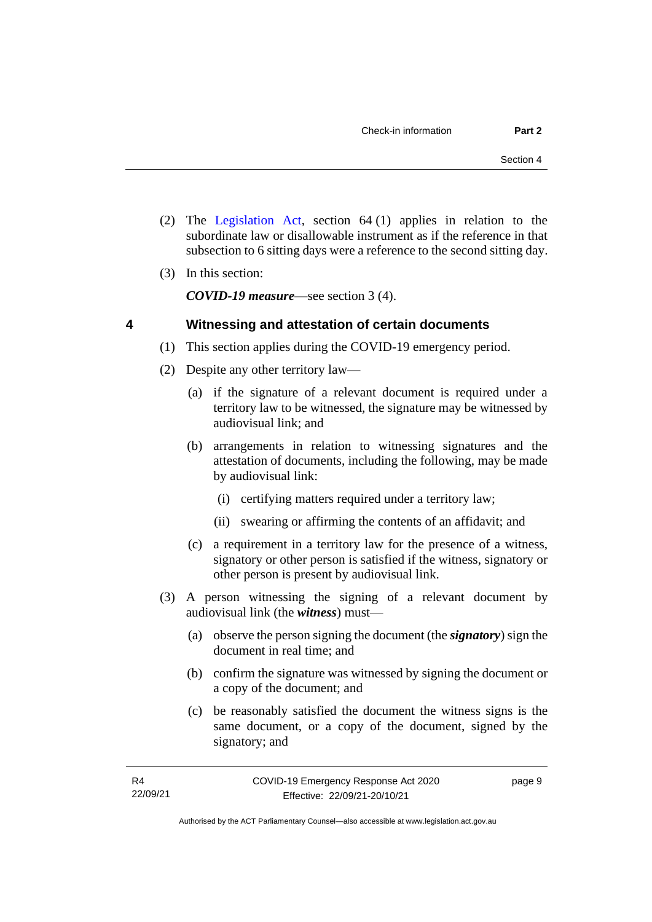- (2) The [Legislation Act,](http://www.legislation.act.gov.au/a/2001-14) section 64 (1) applies in relation to the subordinate law or disallowable instrument as if the reference in that subsection to 6 sitting days were a reference to the second sitting day.
- (3) In this section:

*COVID-19 measure*—see section 3 (4).

# <span id="page-12-0"></span>**4 Witnessing and attestation of certain documents**

- (1) This section applies during the COVID-19 emergency period.
- (2) Despite any other territory law—
	- (a) if the signature of a relevant document is required under a territory law to be witnessed, the signature may be witnessed by audiovisual link; and
	- (b) arrangements in relation to witnessing signatures and the attestation of documents, including the following, may be made by audiovisual link:
		- (i) certifying matters required under a territory law;
		- (ii) swearing or affirming the contents of an affidavit; and
	- (c) a requirement in a territory law for the presence of a witness, signatory or other person is satisfied if the witness, signatory or other person is present by audiovisual link.
- (3) A person witnessing the signing of a relevant document by audiovisual link (the *witness*) must—
	- (a) observe the person signing the document (the *signatory*) sign the document in real time; and
	- (b) confirm the signature was witnessed by signing the document or a copy of the document; and
	- (c) be reasonably satisfied the document the witness signs is the same document, or a copy of the document, signed by the signatory; and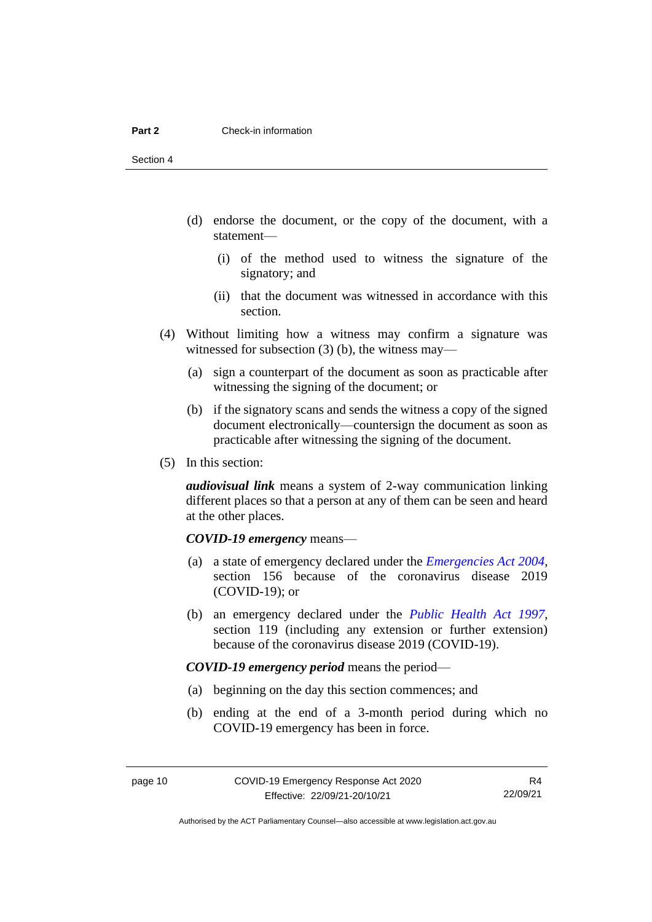- (d) endorse the document, or the copy of the document, with a statement—
	- (i) of the method used to witness the signature of the signatory; and
	- (ii) that the document was witnessed in accordance with this section.
- (4) Without limiting how a witness may confirm a signature was witnessed for subsection (3) (b), the witness may—
	- (a) sign a counterpart of the document as soon as practicable after witnessing the signing of the document; or
	- (b) if the signatory scans and sends the witness a copy of the signed document electronically—countersign the document as soon as practicable after witnessing the signing of the document.
- (5) In this section:

*audiovisual link* means a system of 2-way communication linking different places so that a person at any of them can be seen and heard at the other places.

#### *COVID-19 emergency* means—

- (a) a state of emergency declared under the *[Emergencies Act 2004](http://www.legislation.act.gov.au/a/2004-28)*, section 156 because of the coronavirus disease 2019 (COVID-19); or
- (b) an emergency declared under the *[Public Health Act 1997](http://www.legislation.act.gov.au/a/1997-69)*, section 119 (including any extension or further extension) because of the coronavirus disease 2019 (COVID-19).

*COVID-19 emergency period* means the period—

- (a) beginning on the day this section commences; and
- (b) ending at the end of a 3-month period during which no COVID-19 emergency has been in force.

R4 22/09/21

Authorised by the ACT Parliamentary Counsel—also accessible at www.legislation.act.gov.au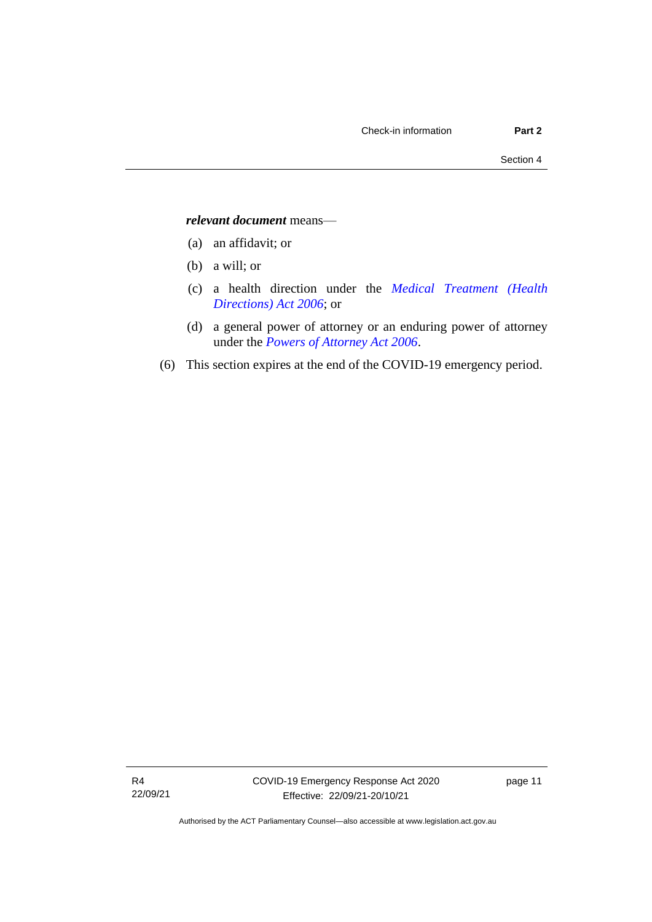#### *relevant document* means—

- (a) an affidavit; or
- (b) a will; or
- (c) a health direction under the *[Medical Treatment \(Health](http://www.legislation.act.gov.au/a/2006-51)  [Directions\) Act 2006](http://www.legislation.act.gov.au/a/2006-51)*; or
- (d) a general power of attorney or an enduring power of attorney under the *[Powers of Attorney Act 2006](http://www.legislation.act.gov.au/a/2006-50)*.
- (6) This section expires at the end of the COVID-19 emergency period.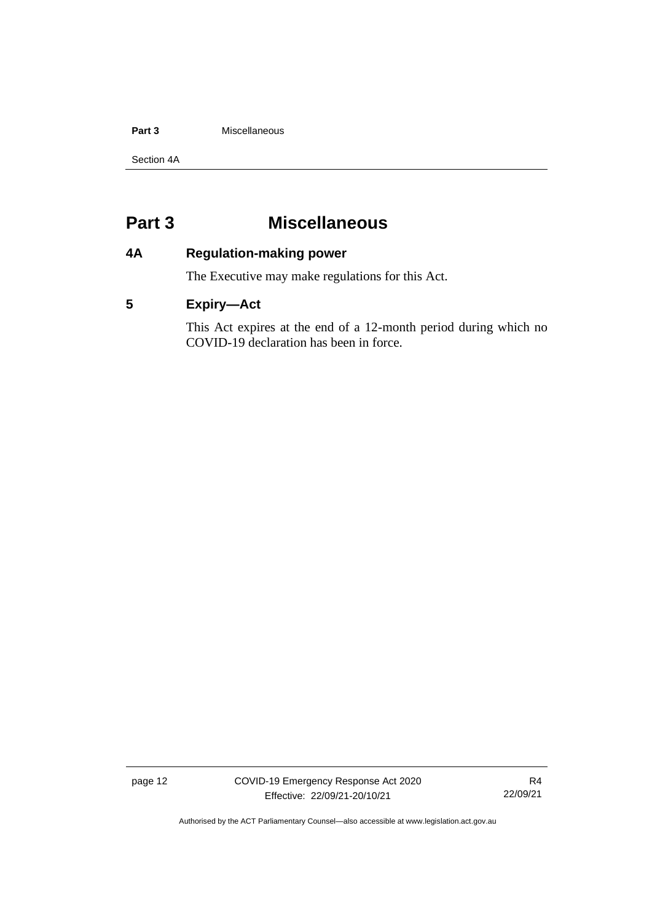#### **Part 3 Miscellaneous**

Section 4A

# <span id="page-15-0"></span>**Part 3 Miscellaneous**

# <span id="page-15-1"></span>**4A Regulation-making power**

The Executive may make regulations for this Act.

# <span id="page-15-2"></span>**5 Expiry—Act**

This Act expires at the end of a 12-month period during which no COVID-19 declaration has been in force.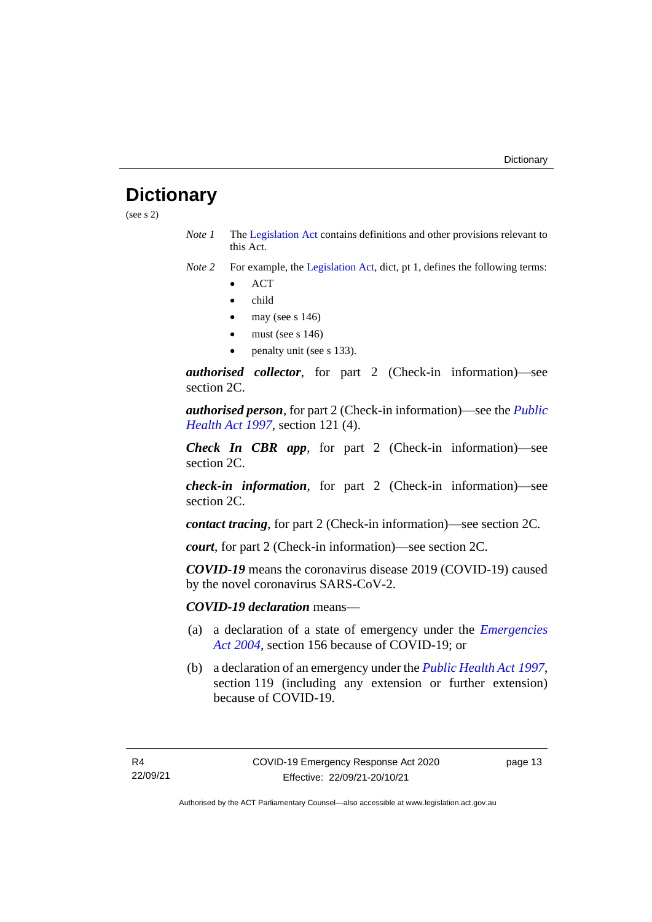# <span id="page-16-0"></span>**Dictionary**

(see s 2)

- *Note 1* The [Legislation Act](http://www.legislation.act.gov.au/a/2001-14) contains definitions and other provisions relevant to this Act.
- *Note 2* For example, the [Legislation Act,](http://www.legislation.act.gov.au/a/2001-14) dict, pt 1, defines the following terms:
	- ACT
	- child
	- may (see s  $146$ )
	- must (see s  $146$ )
	- penalty unit (see s 133).

*authorised collector*, for part 2 (Check-in information)—see section 2C.

*authorised person*, for part 2 (Check-in information)—see the *[Public](http://www.legislation.act.gov.au/a/1997-69)  [Health Act 1997](http://www.legislation.act.gov.au/a/1997-69)*, section 121 (4).

*Check In CBR app*, for part 2 (Check-in information)—see section 2C.

*check-in information*, for part 2 (Check-in information)—see section 2C.

*contact tracing*, for part 2 (Check-in information)—see section 2C*.*

*court*, for part 2 (Check-in information)—see section 2C.

*COVID-19* means the coronavirus disease 2019 (COVID-19) caused by the novel coronavirus SARS-CoV-2.

*COVID-19 declaration* means—

- (a) a declaration of a state of emergency under the *[Emergencies](http://www.legislation.act.gov.au/a/2004-28)  Act [2004](http://www.legislation.act.gov.au/a/2004-28)*, section 156 because of COVID-19; or
- (b) a declaration of an emergency under the *[Public Health Act](http://www.legislation.act.gov.au/a/1997-69) 1997*, section 119 (including any extension or further extension) because of COVID-19.

page 13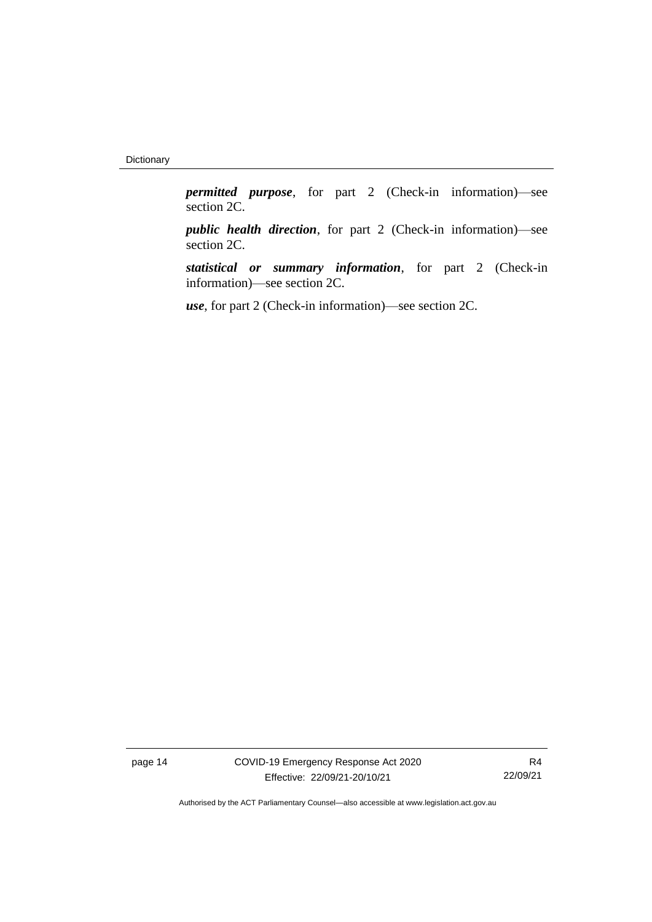*permitted purpose*, for part 2 (Check-in information)—see section 2C.

*public health direction*, for part 2 (Check-in information)—see section 2C.

*statistical or summary information*, for part 2 (Check-in information)—see section 2C.

*use*, for part 2 (Check-in information)—see section 2C.

page 14 COVID-19 Emergency Response Act 2020 Effective: 22/09/21-20/10/21

R4 22/09/21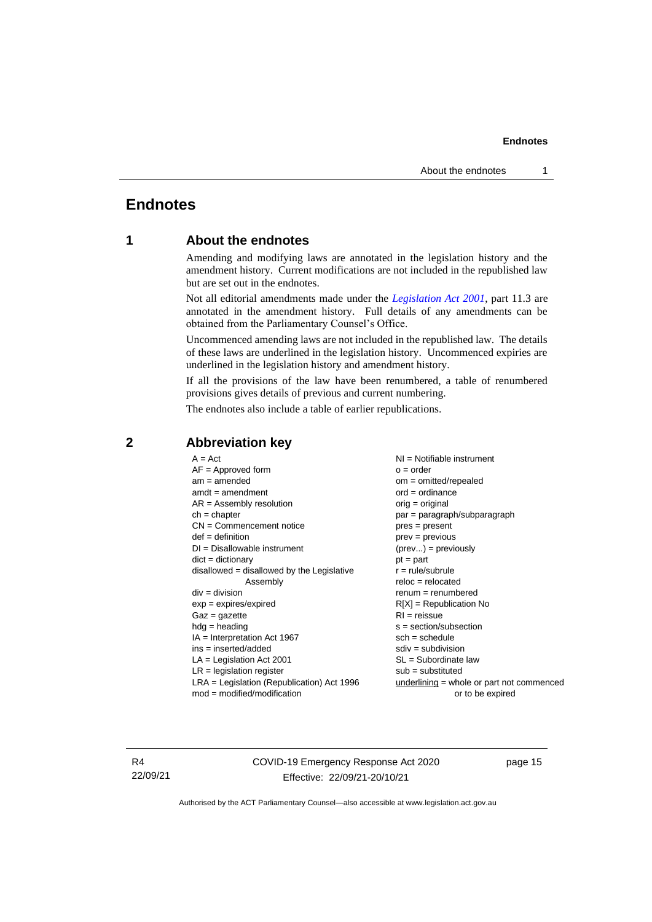# <span id="page-18-1"></span><span id="page-18-0"></span>**Endnotes**

# **1 About the endnotes**

Amending and modifying laws are annotated in the legislation history and the amendment history. Current modifications are not included in the republished law but are set out in the endnotes.

Not all editorial amendments made under the *[Legislation Act 2001](http://www.legislation.act.gov.au/a/2001-14)*, part 11.3 are annotated in the amendment history. Full details of any amendments can be obtained from the Parliamentary Counsel's Office.

Uncommenced amending laws are not included in the republished law. The details of these laws are underlined in the legislation history. Uncommenced expiries are underlined in the legislation history and amendment history.

If all the provisions of the law have been renumbered, a table of renumbered provisions gives details of previous and current numbering.

The endnotes also include a table of earlier republications.

| $A = Act$                                    | $NI =$ Notifiable instrument                |
|----------------------------------------------|---------------------------------------------|
| $AF =$ Approved form                         | $o = order$                                 |
| $am = amended$                               | $om = omitted/repealed$                     |
| $amdt = amendment$                           | $ord = ordinance$                           |
| $AR = Assembly resolution$                   | $orig = original$                           |
| $ch = chapter$                               | par = paragraph/subparagraph                |
| $CN =$ Commencement notice                   | pres = present                              |
| $def = definition$                           | prev = previous                             |
| $DI = Disallowable instrument$               | $(\text{prev}) = \text{previously}$         |
| $dict = dictionary$                          | $pt = part$                                 |
| disallowed = disallowed by the Legislative   | $r = rule/subrule$                          |
| Assembly                                     | $reloc = relocated$                         |
| $div = division$                             | $renum = renumbered$                        |
| $exp = expires/expired$                      | $R[X]$ = Republication No                   |
| $Gaz = gazette$                              | $RI =$ reissue                              |
| $hdg =$ heading                              | $s = section/subsection$                    |
| $IA = Interpretation Act 1967$               | $sch = schedule$                            |
| $ins = inserted/added$                       | $sdiv = subdivision$                        |
| $LA =$ Legislation Act 2001                  | $SL = Subordinate$ law                      |
| $LR =$ legislation register                  | $sub =$ substituted                         |
| $LRA =$ Legislation (Republication) Act 1996 | $underlining = whole or part not commenced$ |
| $mod = modified/modification$                | or to be expired                            |
|                                              |                                             |

### <span id="page-18-2"></span>**2 Abbreviation key**

R4 22/09/21 COVID-19 Emergency Response Act 2020 Effective: 22/09/21-20/10/21

page 15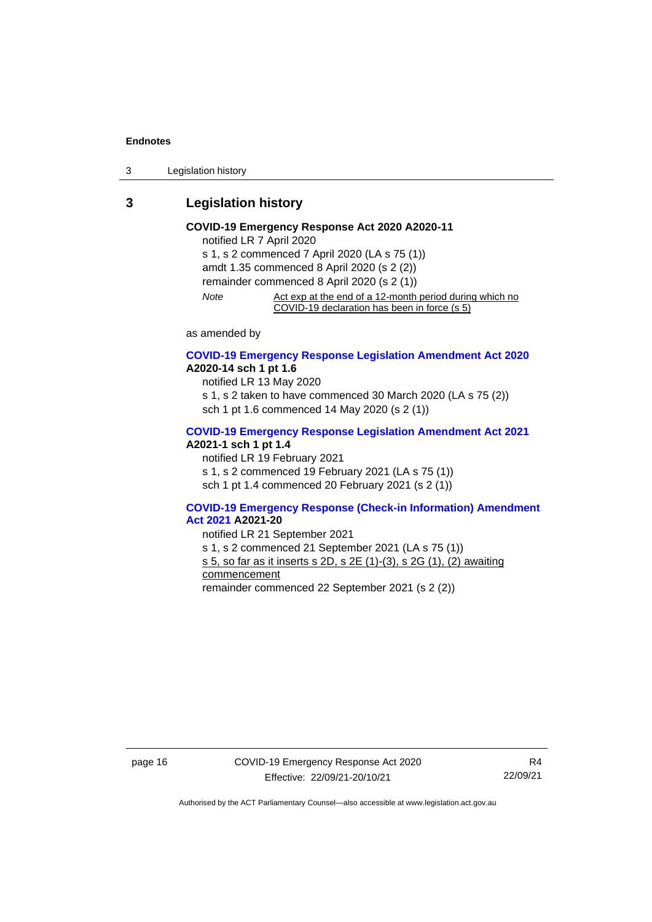3 Legislation history

# <span id="page-19-0"></span>**3 Legislation history**

#### **COVID-19 Emergency Response Act 2020 A2020-11** notified LR 7 April 2020

s 1, s 2 commenced 7 April 2020 (LA s 75 (1)) amdt 1.35 commenced 8 April 2020 (s 2 (2)) remainder commenced 8 April 2020 (s 2 (1)) *Note* Act exp at the end of a 12-month period during which no COVID-19 declaration has been in force (s 5)

as amended by

#### **[COVID-19 Emergency Response Legislation Amendment Act 2020](http://www.legislation.act.gov.au/a/2020-14/) A2020-14 sch 1 pt 1.6**

notified LR 13 May 2020 s 1, s 2 taken to have commenced 30 March 2020 (LA s 75 (2))

sch 1 pt 1.6 commenced 14 May 2020 (s 2 (1))

#### **[COVID-19 Emergency Response Legislation Amendment Act 2021](http://www.legislation.act.gov.au/a/2021-1/) A2021-1 sch 1 pt 1.4**

notified LR 19 February 2021

s 1, s 2 commenced 19 February 2021 (LA s 75 (1))

sch 1 pt 1.4 commenced 20 February 2021 (s 2 (1))

#### **[COVID-19 Emergency Response \(Check-in Information\) Amendment](http://www.legislation.act.gov.au/a/2021-20/)  [Act 2021](http://www.legislation.act.gov.au/a/2021-20/) A2021-20**

notified LR 21 September 2021

s 1, s 2 commenced 21 September 2021 (LA s 75 (1))

s 5, so far as it inserts s 2D, s 2E (1)-(3), s 2G (1), (2) awaiting

commencement

remainder commenced 22 September 2021 (s 2 (2))

page 16 COVID-19 Emergency Response Act 2020 Effective: 22/09/21-20/10/21

R4 22/09/21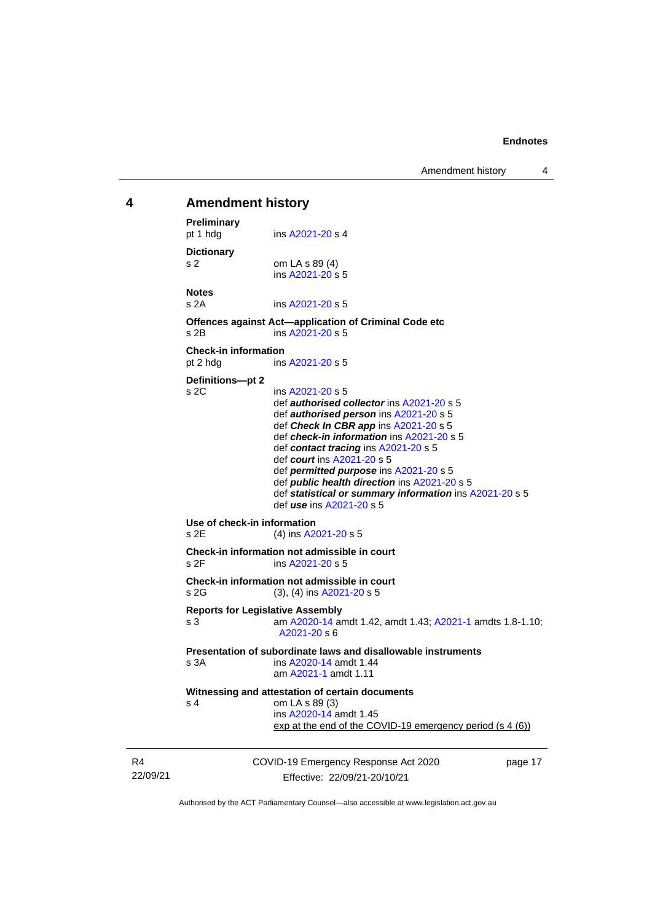Amendment history 4

# <span id="page-20-0"></span>COVID-19 Emergency Response Act 2020 **4 Amendment history Preliminary**<br>pt 1 hdg ins [A2021-20](http://www.legislation.act.gov.au/a/2021-20/) s 4 **Dictionary** s 2 om LA s 89 (4) ins [A2021-20](http://www.legislation.act.gov.au/a/2021-20/) s 5 **Notes** s 2A ins [A2021-20](http://www.legislation.act.gov.au/a/2021-20/) s 5 **Offences against Act—application of Criminal Code etc** s 2B ins [A2021-20](http://www.legislation.act.gov.au/a/2021-20/) s 5 **Check-in information** pt 2 hdg ins [A2021-20](http://www.legislation.act.gov.au/a/2021-20/) s 5 **Definitions—pt 2**  $ins A2021-20 s 5$  $ins A2021-20 s 5$  $ins A2021-20 s 5$ def *authorised collector* in[s A2021-20](http://www.legislation.act.gov.au/a/2021-20/) s 5 def *authorised person* ins [A2021-20](http://www.legislation.act.gov.au/a/2021-20/) s 5 def *Check In CBR app* in[s A2021-20](http://www.legislation.act.gov.au/a/2021-20/) s 5 def *check-in information* ins [A2021-20](http://www.legislation.act.gov.au/a/2021-20/) s 5 def *contact tracing* ins [A2021-20](http://www.legislation.act.gov.au/a/2021-20/) s 5 def *court* ins [A2021-20](http://www.legislation.act.gov.au/a/2021-20/) s 5 def *permitted purpose* in[s A2021-20](http://www.legislation.act.gov.au/a/2021-20/) s 5 def *public health direction* in[s A2021-20](http://www.legislation.act.gov.au/a/2021-20/) s 5 def *statistical or summary information* ins [A2021-20](http://www.legislation.act.gov.au/a/2021-20/) s 5 def *use* ins [A2021-20](http://www.legislation.act.gov.au/a/2021-20/) s 5 **Use of check-in information** s 2E (4) in[s A2021-20](http://www.legislation.act.gov.au/a/2021-20/) s 5 **Check-in information not admissible in court** s 2F ins [A2021-20](http://www.legislation.act.gov.au/a/2021-20/) s 5 **Check-in information not admissible in court** s 2G (3), (4) in[s A2021-20](http://www.legislation.act.gov.au/a/2021-20/) s 5 **Reports for Legislative Assembly** s 3 am [A2020-14](http://www.legislation.act.gov.au/a/2020-14/) amdt 1.42, amdt 1.43[; A2021-1](http://www.legislation.act.gov.au/a/2021-1/) amdts 1.8-1.10; [A2021-20](http://www.legislation.act.gov.au/a/2021-20/) s 6 **Presentation of subordinate laws and disallowable instruments** s 3A ins [A2020-14](http://www.legislation.act.gov.au/a/2020-14/) amdt 1.44 am [A2021-1](http://www.legislation.act.gov.au/a/2021-1/) amdt 1.11 **Witnessing and attestation of certain documents** s 4 om LA s 89 (3) ins [A2020-14](http://www.legislation.act.gov.au/a/2020-14/) amdt 1.45 exp at the end of the COVID-19 emergency period (s 4 (6))

page 17

Authorised by the ACT Parliamentary Counsel—also accessible at www.legislation.act.gov.au

Effective: 22/09/21-20/10/21

R4 22/09/21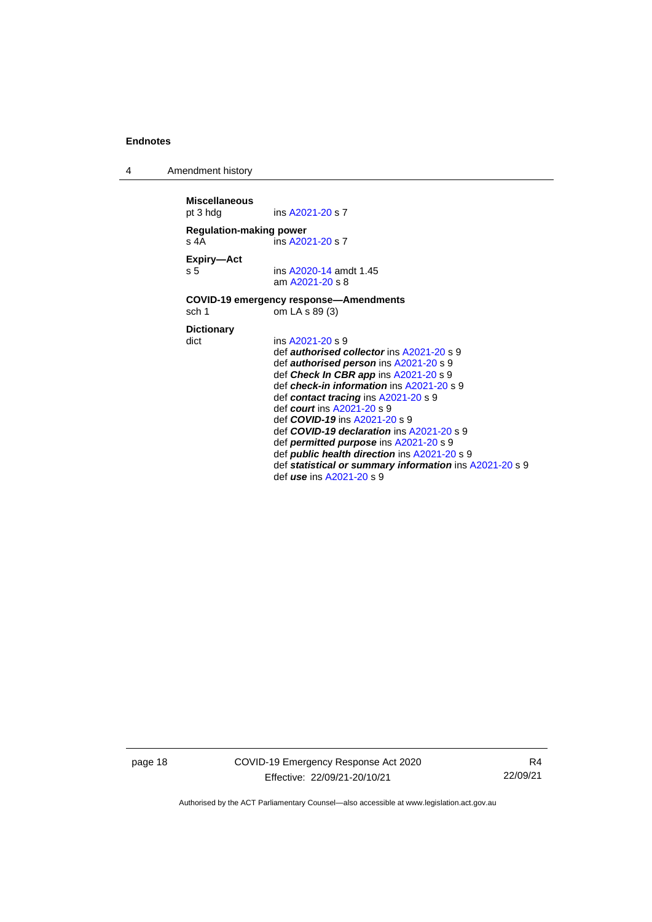4 Amendment history

**Miscellaneous**<br>pt 3 hdg ins [A2021-20](http://www.legislation.act.gov.au/a/2021-20/) s 7 **Regulation-making power** s 4A ins [A2021-20](http://www.legislation.act.gov.au/a/2021-20/) s 7 **Expiry—Act** ins [A2020-14](http://www.legislation.act.gov.au/a/2020-14/) amdt 1.45 am [A2021-20](http://www.legislation.act.gov.au/a/2021-20/) s 8 **COVID-19 emergency response—Amendments** sch 1 om LA s 89 (3) **Dictionary** ins [A2021-20](http://www.legislation.act.gov.au/a/2021-20/) s 9 def *authorised collector* in[s A2021-20](http://www.legislation.act.gov.au/a/2021-20/) s 9 def *authorised person* ins [A2021-20](http://www.legislation.act.gov.au/a/2021-20/) s 9 def *Check In CBR app* in[s A2021-20](http://www.legislation.act.gov.au/a/2021-20/) s 9 def *check-in information* ins [A2021-20](http://www.legislation.act.gov.au/a/2021-20/) s 9 def *contact tracing* ins [A2021-20](http://www.legislation.act.gov.au/a/2021-20/) s 9 def *court* ins [A2021-20](http://www.legislation.act.gov.au/a/2021-20/) s 9 def *COVID-19* ins [A2021-20](http://www.legislation.act.gov.au/a/2021-20/) s 9 def *COVID-19 declaration* in[s A2021-20](http://www.legislation.act.gov.au/a/2021-20/) s 9 def *permitted purpose* in[s A2021-20](http://www.legislation.act.gov.au/a/2021-20/) s 9 def *public health direction* in[s A2021-20](http://www.legislation.act.gov.au/a/2021-20/) s 9 def *statistical or summary information* ins [A2021-20](http://www.legislation.act.gov.au/a/2021-20/) s 9 def *use* ins [A2021-20](http://www.legislation.act.gov.au/a/2021-20/) s 9

page 18 COVID-19 Emergency Response Act 2020 Effective: 22/09/21-20/10/21

R4 22/09/21